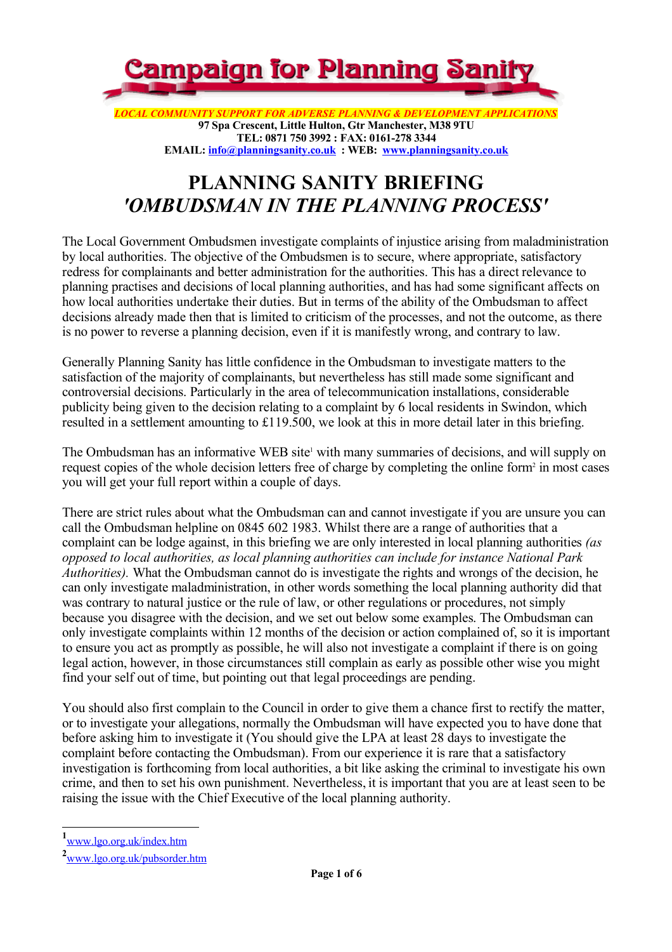

**97Spa Crescent, Little Hulton, Gtr Manchester, M38 9TU TEL: 0871 750 3992 : FAX: 0161-278 3344 EMAIL: info@planningsanity.co.uk : WEB: www.planningsanity.co.uk**

# **PLANNING SANITY BRIEFING** *'OMBUDSMAN IN THE PLANNING PROCESS'*

The Local Government Ombudsmen investigate complaints of injustice arising from maladministration by local authorities. The objective of the Ombudsmen is to secure, where appropriate, satisfactory redress for complainants and better administration for the authorities. This has a direct relevance to planning practises and decisions of local planning authorities, and has had some significant affects on how local authorities undertake their duties. But in terms of the ability of the Ombudsman to affect decisions already made then that is limited to criticism of the processes, and not the outcome, as there is no power to reverse a planning decision, even if it is manifestly wrong, and contrary to law.

Generally Planning Sanity has little confidence in the Ombudsman to investigate matters to the satisfaction of the majority of complainants, but nevertheless has still made some significant and controversial decisions. Particularly in the area of telecommunication installations, considerable publicity being given to the decision relating to a complaint by 6 local residents in Swindon, which resulted in a settlement amounting to £119.500, we look at this in more detail later in this briefing.

The Ombudsman has an informative WEB site<sup>1</sup> with many summaries of decisions, and will supply on request copies of the whole decision letters free of charge by completing the online form<sup>2</sup> in most cases you will get your full report within a couple of days.

There are strict rules about what the Ombudsman can and cannot investigate if you are unsure you can call the Ombudsman helpline on 0845 602 1983. Whilst there are a range of authorities that a complaint can be lodge against, in this briefing we are only interested in local planning authorities *(as opposed to local authorities, as local planning authorities can include for instance National Park Authorities).* What the Ombudsman cannot do is investigate the rights and wrongs of the decision, he can only investigate maladministration, in other words something the local planning authority did that was contrary to natural justice or the rule of law, or other regulations or procedures, not simply because you disagree with the decision, and we set out below some examples. The Ombudsman can only investigate complaints within 12 months of the decision or action complained of, so it is important to ensure you act as promptly as possible, he will also not investigate a complaint if there is on going legal action, however, in those circumstances still complain as early as possible other wise you might find your self out of time, but pointing out that legal proceedings are pending.

You should also first complain to the Council in order to give them a chance first to rectify the matter, or to investigate your allegations, normally the Ombudsman will have expected you to have done that before asking him to investigate it (You should give the LPA at least 28 days to investigate the complaint before contacting the Ombudsman). From our experience it is rare that a satisfactory investigation is forthcoming from local authorities, a bit like asking the criminal to investigate his own crime, and then to set his own punishment. Nevertheless, it is important that you are at least seen to be raising the issue with the Chief Executive of the local planning authority.

**1** www.lgo.org.uk/index.htm

**<sup>2</sup>** www.lgo.org.uk/pubsorder.htm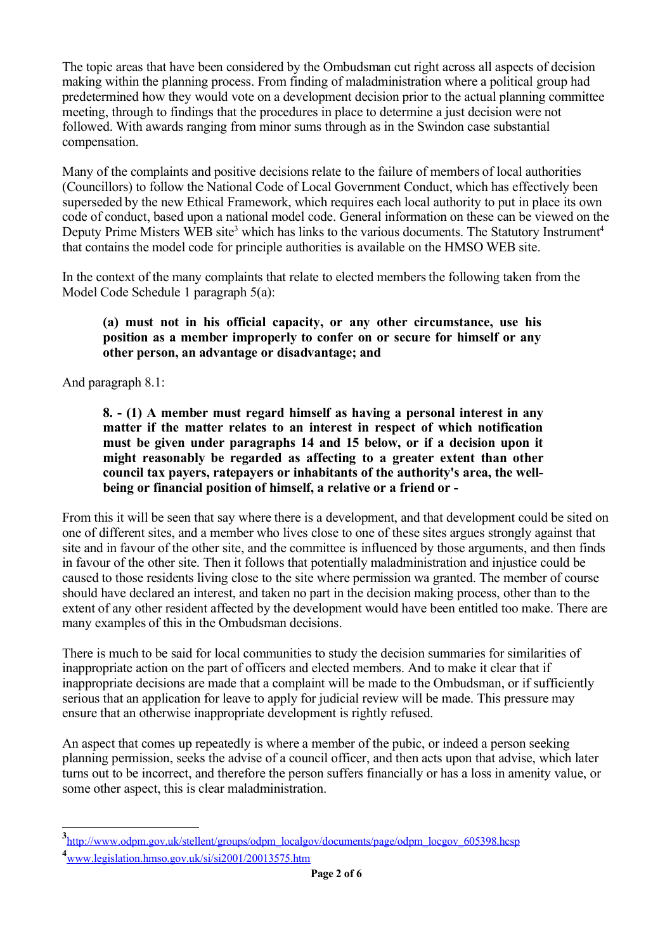The topic areas that have been considered by the Ombudsman cut right across all aspects of decision making within the planning process. From finding of maladministration where a political group had predetermined how they would vote on a development decision prior to the actual planning committee meeting, through to findings that the procedures in place to determine a just decision were not followed. With awards ranging from minor sums through as in the Swindon case substantial compensation.

Many of the complaints and positive decisions relate to the failure of members of local authorities (Councillors) to follow the National Code of Local Government Conduct, which has effectively been superseded by the new Ethical Framework, which requires each local authority to put in place its own code of conduct, based upon a national model code. General information on these can be viewed on the Deputy Prime Misters WEB site<sup>3</sup> which has links to the various documents. The Statutory Instrument<sup>4</sup> that contains the model code for principle authorities is available on the HMSO WEB site.

In the context of the many complaints that relate to elected members the following taken from the Model Code Schedule 1 paragraph 5(a):

### **(a) must not in his official capacity, or any other circumstance, use his position as a member improperly to confer on or secure for himself or any other person, an advantage or disadvantage; and**

And paragraph 8.1:

**8. - (1) A member must regard himself as having a personal interest in any matter if the matter relates to an interest in respect of which notification must be given under paragraphs 14 and 15 below, or if a decision upon it might reasonably be regarded as affecting to a greater extent than other council tax payers, ratepayers or inhabitants of the authority's area, the wellbeing or financial position of himself, a relative or a friend or -**

From this it will be seen that say where there is a development, and that development could be sited on one of different sites, and a member who lives close to one of these sites argues strongly against that site and in favour of the other site, and the committee is influenced by those arguments, and then finds in favour of the other site. Then it follows that potentially maladministration and injustice could be caused to those residents living close to the site where permission wa granted. The member of course should have declared an interest, and taken no part in the decision making process, other than to the extent of any other resident affected by the development would have been entitled too make. There are many examples of this in the Ombudsman decisions.

There is much to be said for local communities to study the decision summaries for similarities of inappropriate action on the part of officers and elected members. And to make it clear that if inappropriate decisions are made that a complaint will be made to the Ombudsman, or if sufficiently serious that an application for leave to apply for judicial review will be made. This pressure may ensure that an otherwise inappropriate development is rightly refused.

An aspect that comes up repeatedly is where a member of the pubic, or indeed a person seeking planning permission, seeks the advise of a council officer, and then acts upon that advise, which later turns out to be incorrect, and therefore the person suffers financially or has a loss in amenity value, or some other aspect, this is clear maladministration.

**<sup>3</sup>** http://www.odpm.gov.uk/stellent/groups/odpm\_localgov/documents/page/odpm\_locgov\_605398.hcsp

**<sup>4</sup>** www.legislation.hmso.gov.uk/si/si2001/20013575.htm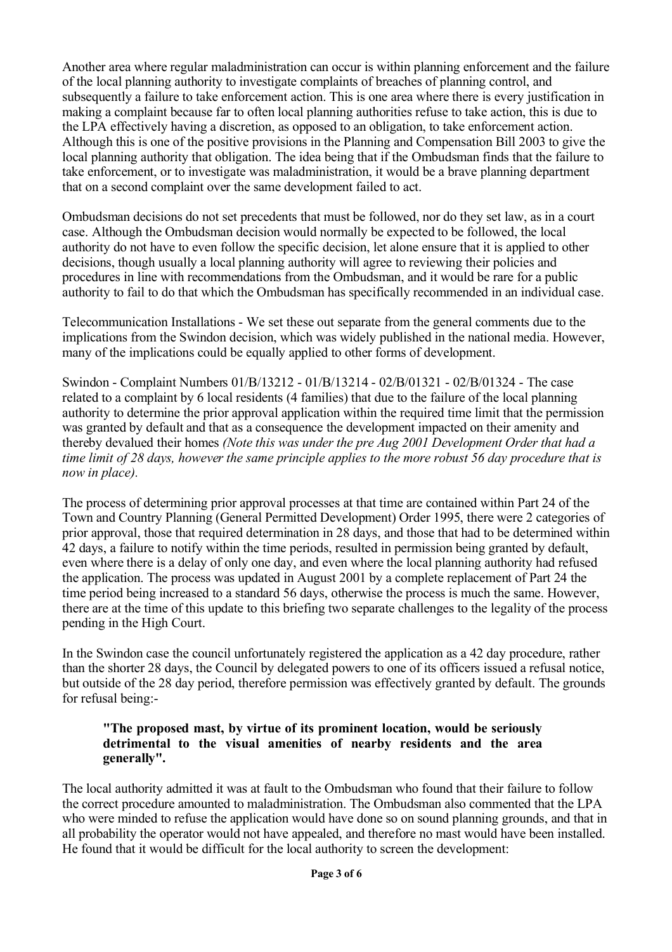Another area where regular maladministration can occur is within planning enforcement and the failure of the local planning authority to investigate complaints of breaches of planning control, and subsequently a failure to take enforcement action. This is one area where there is every justification in making a complaint because far to often local planning authorities refuse to take action, this is due to the LPA effectively having a discretion, as opposed to an obligation, to take enforcement action. Although this is one of the positive provisions in the Planning and Compensation Bill 2003 to give the local planning authority that obligation. The idea being that if the Ombudsman finds that the failure to take enforcement, or to investigate was maladministration, it would be a brave planning department that on a second complaint over the same development failed to act.

Ombudsman decisions do not set precedents that must be followed, nor do they set law, as in a court case. Although the Ombudsman decision would normally be expected to be followed, the local authority do not have to even follow the specific decision, let alone ensure that it is applied to other decisions, though usually a local planning authority will agree to reviewing their policies and procedures in line with recommendations from the Ombudsman, and it would be rare for a public authority to fail to do that which the Ombudsman has specifically recommended in an individual case.

Telecommunication Installations - We set these out separate from the general comments due to the implications from the Swindon decision, which was widely published in the national media. However, many of the implications could be equally applied to other forms of development.

Swindon - Complaint Numbers 01/B/13212 - 01/B/13214 - 02/B/01321 - 02/B/01324 - The case related to a complaint by 6 local residents (4 families) that due to the failure of the local planning authority to determine the prior approval application within the required time limit that the permission was granted by default and that as a consequence the development impacted on their amenity and thereby devalued their homes *(Note this was under the pre Aug 2001 Development Order that had a time limit of 28 days, however the same principle applies to the more robust 56 day procedure that is now in place).*

The process of determining prior approval processes at that time are contained within Part 24 of the Town and Country Planning (General Permitted Development) Order 1995, there were 2 categories of prior approval, those that required determination in 28 days, and those that had to be determined within 42 days, a failure to notify within the time periods, resulted in permission being granted by default, even where there is a delay of only one day, and even where the local planning authority had refused the application. The process was updated in August 2001 by a complete replacement of Part 24 the time period being increased to a standard 56 days, otherwise the process is much the same. However, there are at the time of this update to this briefing two separate challenges to the legality of the process pending in the High Court.

In the Swindon case the council unfortunately registered the application as a 42 day procedure, rather than the shorter 28 days, the Council by delegated powers to one of its officers issued a refusal notice, but outside of the 28 day period, therefore permission was effectively granted by default. The grounds for refusal being:-

### **"The proposed mast, by virtue of its prominent location, would be seriously detrimental to the visual amenities of nearby residents and the area generally".**

The local authority admitted it was at fault to the Ombudsman who found that their failure to follow the correct procedure amounted to maladministration. The Ombudsman also commented that the LPA who were minded to refuse the application would have done so on sound planning grounds, and that in all probability the operator would not have appealed, and therefore no mast would have been installed. He found that it would be difficult for the local authority to screen the development: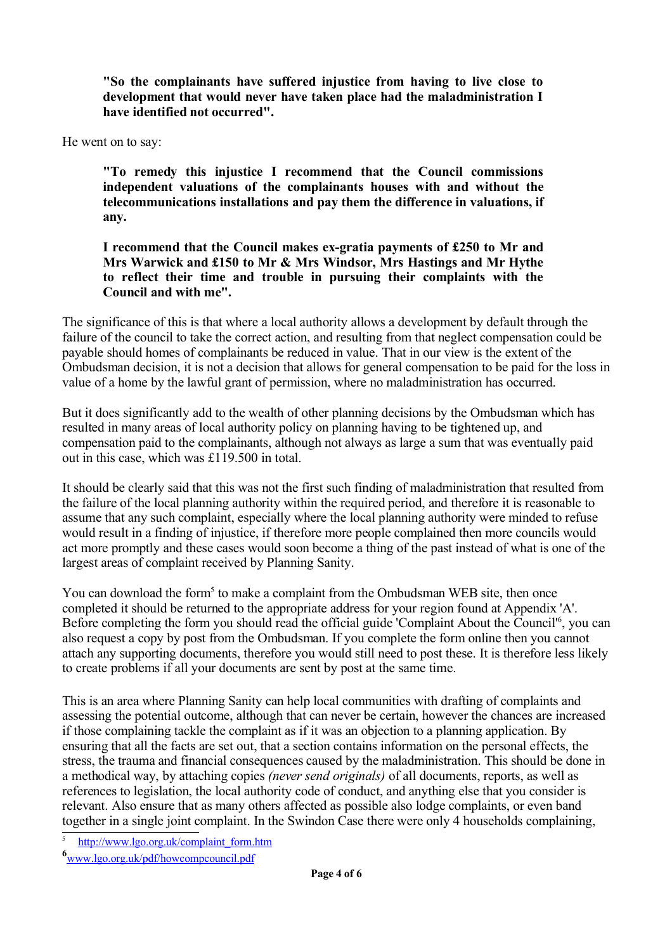**"So the complainants have suffered injustice from having to live close to development that would never have taken place had the maladministration I have identified not occurred".** 

He went on to say:

**"To remedy this injustice I recommend that the Council commissions independent valuations of the complainants houses with and without the telecommunications installations and pay them the difference in valuations, if any.**

**I recommend that the Council makes ex-gratia payments of £250 to Mr and Mrs Warwick and £150 to Mr & Mrs Windsor, Mrs Hastings and Mr Hythe to reflect their time and trouble in pursuing their complaints with the Council and with me".**

The significance of this is that where a local authority allows a development by default through the failure of the council to take the correct action, and resulting from that neglect compensation could be payable should homes of complainants be reduced in value. That in our view is the extent of the Ombudsman decision, it is not a decision that allows for general compensation to be paid for the loss in value of a home by the lawful grant of permission, where no maladministration has occurred.

But it does significantly add to the wealth of other planning decisions by the Ombudsman which has resulted in many areas of local authority policy on planning having to be tightened up, and compensation paid to the complainants, although not always as large a sum that was eventually paid out in this case, which was £119.500 in total.

It should be clearly said that this was not the first such finding of maladministration that resulted from the failure of the local planning authority within the required period, and therefore it is reasonable to assume that any such complaint, especially where the local planning authority were minded to refuse would result in a finding of injustice, if therefore more people complained then more councils would act more promptly and these cases would soon become a thing of the past instead of what is one of the largest areas of complaint received by Planning Sanity.

You can download the form<sup>5</sup> to make a complaint from the Ombudsman WEB site, then once completed it should be returned to the appropriate address for your region found at Appendix 'A'. Before completing the form you should read the official guide 'Complaint About the Council<sup>16</sup>, you can also request a copy by post from the Ombudsman. If you complete the form online then you cannot attach any supporting documents, therefore you would still need to post these. It is therefore less likely to create problems if all your documents are sent by post at the same time.

This is an area where Planning Sanity can help local communities with drafting of complaints and assessing the potential outcome, although that can never be certain, however the chances are increased if those complaining tackle the complaint as if it was an objection to a planning application. By ensuring that all the facts are set out, that a section contains information on the personal effects, the stress, the trauma and financial consequences caused by the maladministration. This should be done in a methodical way, by attaching copies *(never send originals)* of all documents, reports, as well as references to legislation, the local authority code of conduct, and anything else that you consider is relevant. Also ensure that as many others affected as possible also lodge complaints, or even band together in a single joint complaint. In the Swindon Case there were only 4 households complaining,

5 http://www.lgo.org.uk/complaint\_form.htm

**6** www.lgo.org.uk/pdf/howcompcouncil.pdf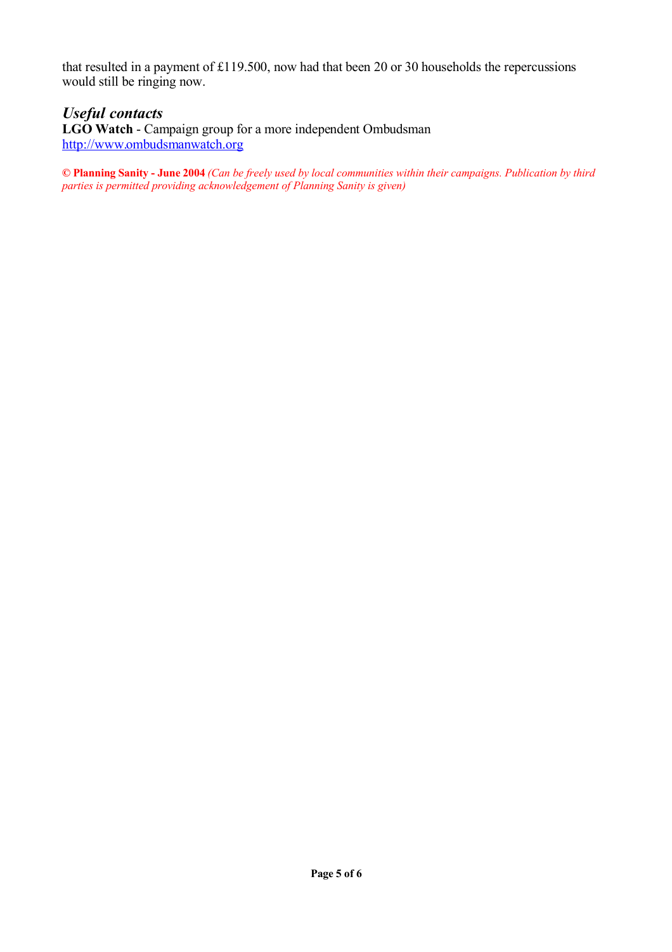that resulted in a payment of £119.500, now had that been 20 or 30 households the repercussions would still be ringing now.

## *Useful contacts*

**LGO Watch** - Campaign group for a more independent Ombudsman http://www.ombudsmanwatch.org

**© Planning Sanity - June 2004** *(Can be freely used by local communities within their campaigns. Publication by third parties is permitted providing acknowledgement of Planning Sanity is given)*